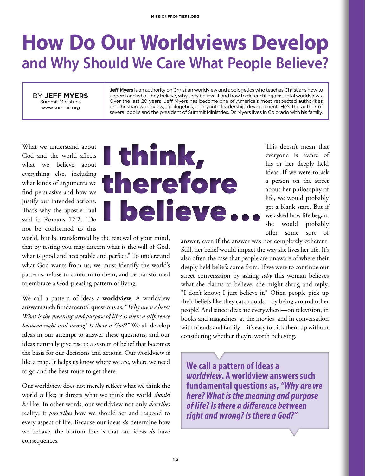### **How Do Our Worldviews Develop and Why Should We Care What People Believe?**

BY **JEFF MYERS** Summit Ministries www.summit.org

**Jeff Myers** is an authority on Christian worldview and apologetics who teaches Christians how to understand what they believe, why they believe it and how to defend it against fatal worldviews. Over the last 20 years, Jeff Myers has become one of America's most respected authorities on Christian worldview, apologetics, and youth leadership development. He's the author of several books and the president of Summit Ministries. Dr. Myers lives in Colorado with his family.

What we understand about God and the world affects what we believe about everything else, including what kinds of arguments we find persuasive and how we justify our intended actions. That's why the apostle Paul said in Romans 12:2, "Do not be conformed to this

# I think, therefore **I believe**

world, but be transformed by the renewal of your mind, that by testing you may discern what is the will of God, what is good and acceptable and perfect." To understand what God wants from us, we must identify the world's patterns, refuse to conform to them, and be transformed to embrace a God-pleasing pattern of living.

We call a pattern of ideas a **worldview**. A worldview answers such fundamental questions as, "*Why are we here? What is the meaning and purpose of life? Is there a difference between right and wrong? Is there a God?"* We all develop ideas in our attempt to answer these questions, and our ideas naturally give rise to a system of belief that becomes the basis for our decisions and actions. Our worldview is like a map. It helps us know where we are, where we need to go and the best route to get there.

Our worldview does not merely reflect what we think the world *is* like; it directs what we think the world *should be* like. In other words, our worldview not only *describes* reality; it *prescribes* how we should act and respond to every aspect of life. Because our ideas *do* determine how we behave, the bottom line is that our ideas *do* have consequences.

This doesn't mean that everyone is aware of his or her deeply held ideas. If we were to ask a person on the street about her philosophy of life, we would probably get a blank stare. But if we asked how life began, she would probably offer some sort of

answer, even if the answer was not completely coherent. Still, her belief would impact the way she lives her life. It's also often the case that people are unaware of where their deeply held beliefs come from. If we were to continue our street conversation by asking *why* this woman believes what she claims to believe, she might shrug and reply, "I don't know; I just believe it." Often people pick up their beliefs like they catch colds—by being around other people! And since ideas are everywhere—on television, in books and magazines, at the movies, and in conversation with friends and family—it's easy to pick them up without considering whether they're worth believing.

**We call a pattern of ideas a**  *worldview***. A worldview answers such fundamental questions as,** *"Why are we here? What is the meaning and purpose of life? Is there a difference between right and wrong? Is there a God?"*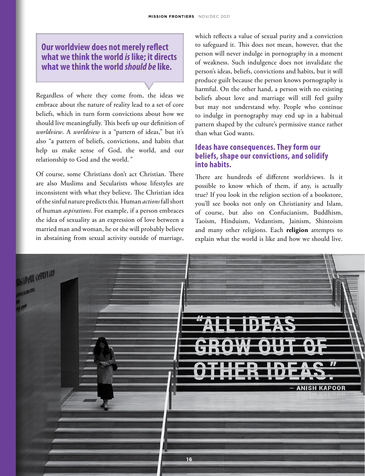**Our worldview does not merely reflect what we think the world** *is* **like; it directs what we think the world** *should be* **like.**

Regardless of where they come from, the ideas we embrace about the nature of reality lead to a set of core beliefs, which in turn form convictions about how we should live meaningfully. This beefs up our definition of *worldview*. A *worldview* is a "pattern of ideas," but it's also "a pattern of beliefs, convictions, and habits that help us make sense of God, the world, and our relationship to God and the world.*"*

Of course, some Christians don't act Christian. There are also Muslims and Secularists whose lifestyles are inconsistent with what they believe. The Christian idea of the sinful nature predicts this. Human *actions* fall short of human *aspirations*. For example, if a person embraces the idea of sexuality as an expression of love between a married man and woman, he or she will probably believe in abstaining from sexual activity outside of marriage, which reflects a value of sexual purity and a conviction to safeguard it. This does not mean, however, that the person will never indulge in pornography in a moment of weakness. Such indulgence does not invalidate the person's ideas, beliefs, convictions and habits, but it will produce guilt because the person knows pornography is harmful. On the other hand, a person with no existing beliefs about love and marriage will still feel guilty but may not understand why. People who continue to indulge in pornography may end up in a habitual pattern shaped by the culture's permissive stance rather than what God wants.

#### **Ideas have consequences. They form our beliefs, shape our convictions, and solidify into habits.**

There are hundreds of different worldviews. Is it possible to know which of them, if any, is actually true? If you look in the religion section of a bookstore, you'll see books not only on Christianity and Islam, of course, but also on Confucianism, Buddhism, Taoism, Hinduism, Vedantism, Jainism, Shintoism and many other religions. Each **religion** attempts to explain what the world is like and how we should live.

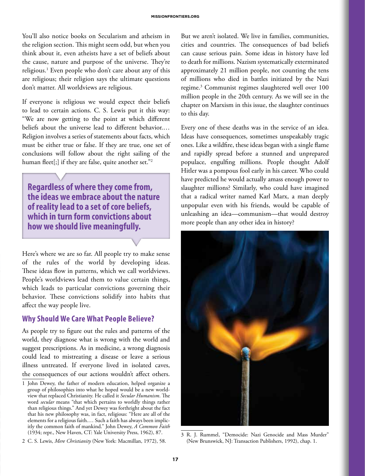You'll also notice books on Secularism and atheism in the religion section. This might seem odd, but when you think about it, even atheists have a set of beliefs about the cause, nature and purpose of the universe. They're religious.1 Even people who don't care about any of this are religious; their religion says the ultimate questions don't matter. All worldviews are religious.

If everyone is religious we would expect their beliefs to lead to certain actions. C. S. Lewis put it this way: "We are now getting to the point at which different beliefs about the universe lead to different behavior.… Religion involves a series of statements about facts, which must be either true or false. If they are true, one set of conclusions will follow about the right sailing of the human fleet[;] if they are false, quite another set."<sup>2</sup>

**Regardless of where they come from, the ideas we embrace about the nature of reality lead to a set of core beliefs, which in turn form convictions about how we should live meaningfully.**

Here's where we are so far. All people try to make sense of the rules of the world by developing ideas. These ideas flow in patterns, which we call worldviews. People's worldviews lead them to value certain things, which leads to particular convictions governing their behavior. These convictions solidify into habits that affect the way people live.

#### **Why Should We Care What People Believe?**

As people try to figure out the rules and patterns of the world, they diagnose what is wrong with the world and suggest prescriptions. As in medicine, a wrong diagnosis could lead to mistreating a disease or leave a serious illness untreated. If everyone lived in isolated caves, the consequences of our actions wouldn't affect others.

But we aren't isolated. We live in families, communities, cities and countries. The consequences of bad beliefs can cause serious pain. Some ideas in history have led to death for millions. Nazism systematically exterminated approximately 21 million people, not counting the tens of millions who died in battles initiated by the Nazi regime.3 Communist regimes slaughtered well over 100 million people in the 20th century. As we will see in the chapter on Marxism in this issue, the slaughter continues to this day.

Every one of these deaths was in the service of an idea. Ideas have consequences, sometimes unspeakably tragic ones. Like a wildfire, these ideas began with a single flame and rapidly spread before a stunned and unprepared populace, engulfing millions. People thought Adolf Hitler was a pompous fool early in his career. Who could have predicted he would actually amass enough power to slaughter millions? Similarly, who could have imagined that a radical writer named Karl Marx, a man deeply unpopular even with his friends, would be capable of unleashing an idea—communism—that would destroy more people than any other idea in history?



3 R. J. Rummel, "Democide: Nazi Genocide and Mass Murder" (New Brunswick, NJ: Transaction Publishers, 1992), chap. 1.

<sup>1</sup> John Dewey, the father of modern education, helped organize a group of philosophies into what he hoped would be a new worldview that replaced Christianity. He called it *Secular Humanism*. The word *secular* means "that which pertains to worldly things rather than religious things." And yet Dewey was forthright about the fact that his new philosophy was, in fact, religious: "Here are all of the elements for a religious faith.… Such a faith has always been implicitly the common faith of mankind." John Dewey, *A Common Faith* (1934; repr., New Haven, CT: Yale University Press, 1962), 87.

<sup>2</sup> C. S. Lewis, *Mere Christianity* (New York: Macmillan, 1972), 58.